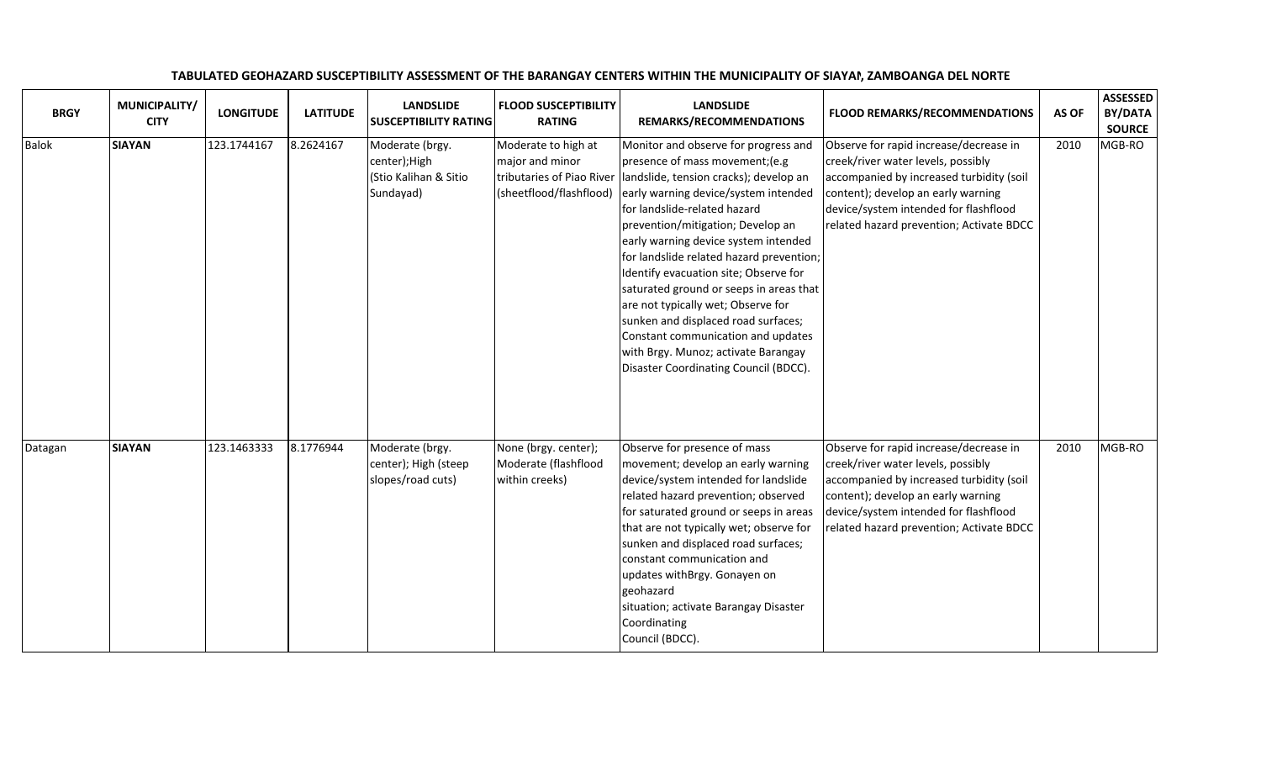| <b>BRGY</b>  | MUNICIPALITY/<br><b>CITY</b> | <b>LONGITUDE</b> | <b>LATITUDE</b> | <b>LANDSLIDE</b><br><b>SUSCEPTIBILITY RATING</b>                       | <b>FLOOD SUSCEPTIBILITY</b><br><b>RATING</b>                                                   | <b>LANDSLIDE</b><br>REMARKS/RECOMMENDATIONS                                                                                                                                                                                                                                                                                                                                                                                                                                                                                                                                                               | <b>FLOOD REMARKS/RECOMMENDATIONS</b>                                                                                                                                                                                                                | AS OF | <b>ASSESSED</b><br>BY/DATA<br><b>SOURCE</b> |
|--------------|------------------------------|------------------|-----------------|------------------------------------------------------------------------|------------------------------------------------------------------------------------------------|-----------------------------------------------------------------------------------------------------------------------------------------------------------------------------------------------------------------------------------------------------------------------------------------------------------------------------------------------------------------------------------------------------------------------------------------------------------------------------------------------------------------------------------------------------------------------------------------------------------|-----------------------------------------------------------------------------------------------------------------------------------------------------------------------------------------------------------------------------------------------------|-------|---------------------------------------------|
| <b>Balok</b> | <b>SIAYAN</b>                | 123.1744167      | 8.2624167       | Moderate (brgy.<br>center); High<br>(Stio Kalihan & Sitio<br>Sundayad) | Moderate to high at<br>major and minor<br>tributaries of Piao River<br>(sheetflood/flashflood) | Monitor and observe for progress and<br>presence of mass movement; (e.g<br>landslide, tension cracks); develop an<br>early warning device/system intended<br>for landslide-related hazard<br>prevention/mitigation; Develop an<br>early warning device system intended<br>for landslide related hazard prevention;<br>Identify evacuation site; Observe for<br>saturated ground or seeps in areas that<br>are not typically wet; Observe for<br>sunken and displaced road surfaces;<br>Constant communication and updates<br>with Brgy. Munoz; activate Barangay<br>Disaster Coordinating Council (BDCC). | Observe for rapid increase/decrease in<br>creek/river water levels, possibly<br>accompanied by increased turbidity (soil<br>content); develop an early warning<br>device/system intended for flashflood<br>related hazard prevention; Activate BDCC | 2010  | MGB-RO                                      |
| Datagan      | <b>SIAYAN</b>                | 123.1463333      | 8.1776944       | Moderate (brgy.<br>center); High (steep<br>slopes/road cuts)           | None (brgy. center);<br>Moderate (flashflood<br>within creeks)                                 | Observe for presence of mass<br>movement; develop an early warning<br>device/system intended for landslide<br>related hazard prevention; observed<br>for saturated ground or seeps in areas<br>that are not typically wet; observe for<br>sunken and displaced road surfaces;<br>constant communication and<br>updates withBrgy. Gonayen on<br>geohazard<br>situation; activate Barangay Disaster<br>Coordinating<br>Council (BDCC).                                                                                                                                                                      | Observe for rapid increase/decrease in<br>creek/river water levels, possibly<br>accompanied by increased turbidity (soil<br>content); develop an early warning<br>device/system intended for flashflood<br>related hazard prevention; Activate BDCC | 2010  | MGB-RO                                      |

## TABULATED GEOHAZARD SUSCEPTIBILITY ASSESSMENT OF THE BARANGAY CENTERS WITHIN THE MUNICIPALITY OF SIAYAN, ZAMBOANGA DEL NORTE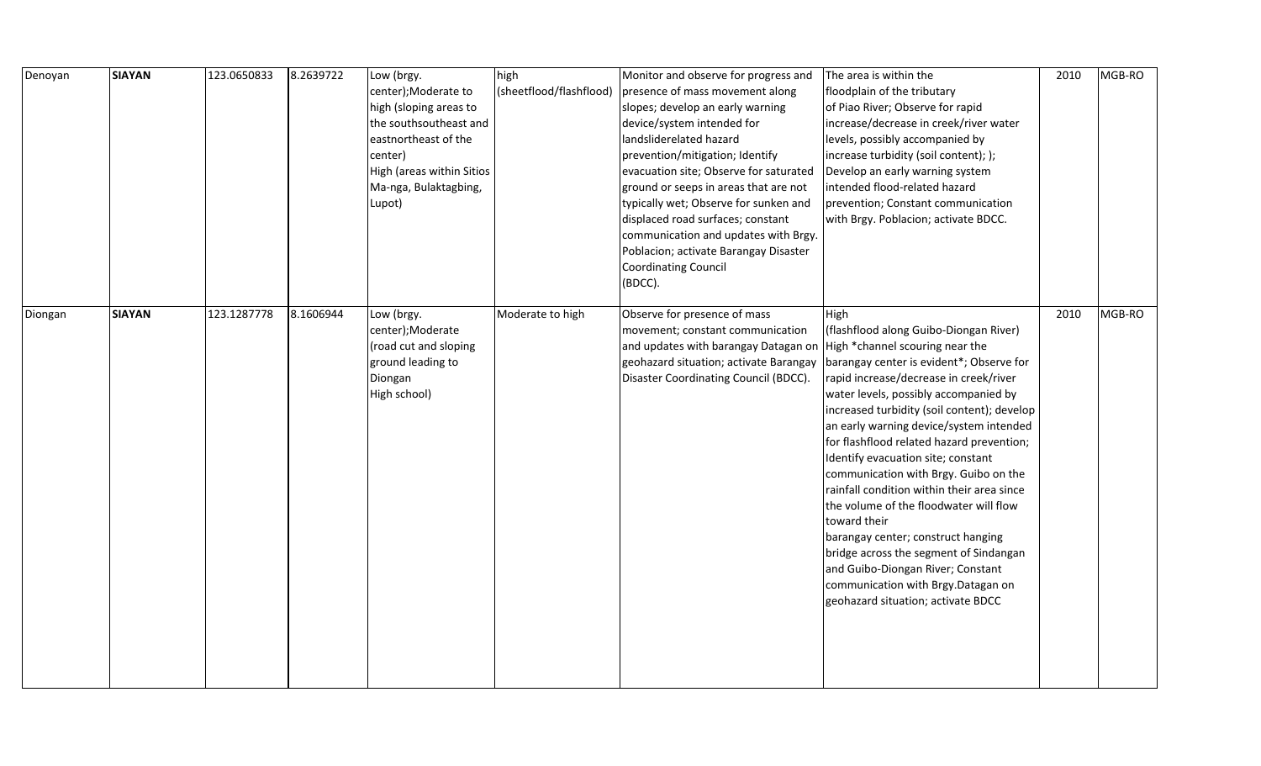| Denoyan | <b>SIAYAN</b> | 123.0650833 | 8.2639722 | Low (brgy.<br>center);Moderate to<br>high (sloping areas to<br>the southsoutheast and<br>eastnortheast of the<br>center)<br>High (areas within Sitios<br>Ma-nga, Bulaktagbing,<br>Lupot) | high<br>(sheetflood/flashflood) | Monitor and observe for progress and<br>presence of mass movement along<br>slopes; develop an early warning<br>device/system intended for<br>landsliderelated hazard<br>prevention/mitigation; Identify<br>evacuation site; Observe for saturated<br>ground or seeps in areas that are not<br>typically wet; Observe for sunken and<br>displaced road surfaces; constant<br>communication and updates with Brgy.<br>Poblacion; activate Barangay Disaster<br><b>Coordinating Council</b><br>(BDCC). | The area is within the<br>floodplain of the tributary<br>of Piao River; Observe for rapid<br>increase/decrease in creek/river water<br>levels, possibly accompanied by<br>increase turbidity (soil content); );<br>Develop an early warning system<br>intended flood-related hazard<br>prevention; Constant communication<br>with Brgy. Poblacion; activate BDCC.                                                                                                                                                                                                                                                                                                                                                                               | 2010 | MGB-RO |
|---------|---------------|-------------|-----------|------------------------------------------------------------------------------------------------------------------------------------------------------------------------------------------|---------------------------------|-----------------------------------------------------------------------------------------------------------------------------------------------------------------------------------------------------------------------------------------------------------------------------------------------------------------------------------------------------------------------------------------------------------------------------------------------------------------------------------------------------|-------------------------------------------------------------------------------------------------------------------------------------------------------------------------------------------------------------------------------------------------------------------------------------------------------------------------------------------------------------------------------------------------------------------------------------------------------------------------------------------------------------------------------------------------------------------------------------------------------------------------------------------------------------------------------------------------------------------------------------------------|------|--------|
| Diongan | <b>SIAYAN</b> | 123.1287778 | 8.1606944 | Low (brgy.<br>center);Moderate<br>(road cut and sloping<br>ground leading to<br>Diongan<br>High school)                                                                                  | Moderate to high                | Observe for presence of mass<br>movement; constant communication<br>and updates with barangay Datagan on<br>geohazard situation; activate Barangay<br>Disaster Coordinating Council (BDCC).                                                                                                                                                                                                                                                                                                         | High<br>(flashflood along Guibo-Diongan River)<br>High *channel scouring near the<br>barangay center is evident*; Observe for<br>rapid increase/decrease in creek/river<br>water levels, possibly accompanied by<br>increased turbidity (soil content); develop<br>an early warning device/system intended<br>for flashflood related hazard prevention;<br>Identify evacuation site; constant<br>communication with Brgy. Guibo on the<br>rainfall condition within their area since<br>the volume of the floodwater will flow<br>toward their<br>barangay center; construct hanging<br>bridge across the segment of Sindangan<br>and Guibo-Diongan River; Constant<br>communication with Brgy.Datagan on<br>geohazard situation; activate BDCC | 2010 | MGB-RO |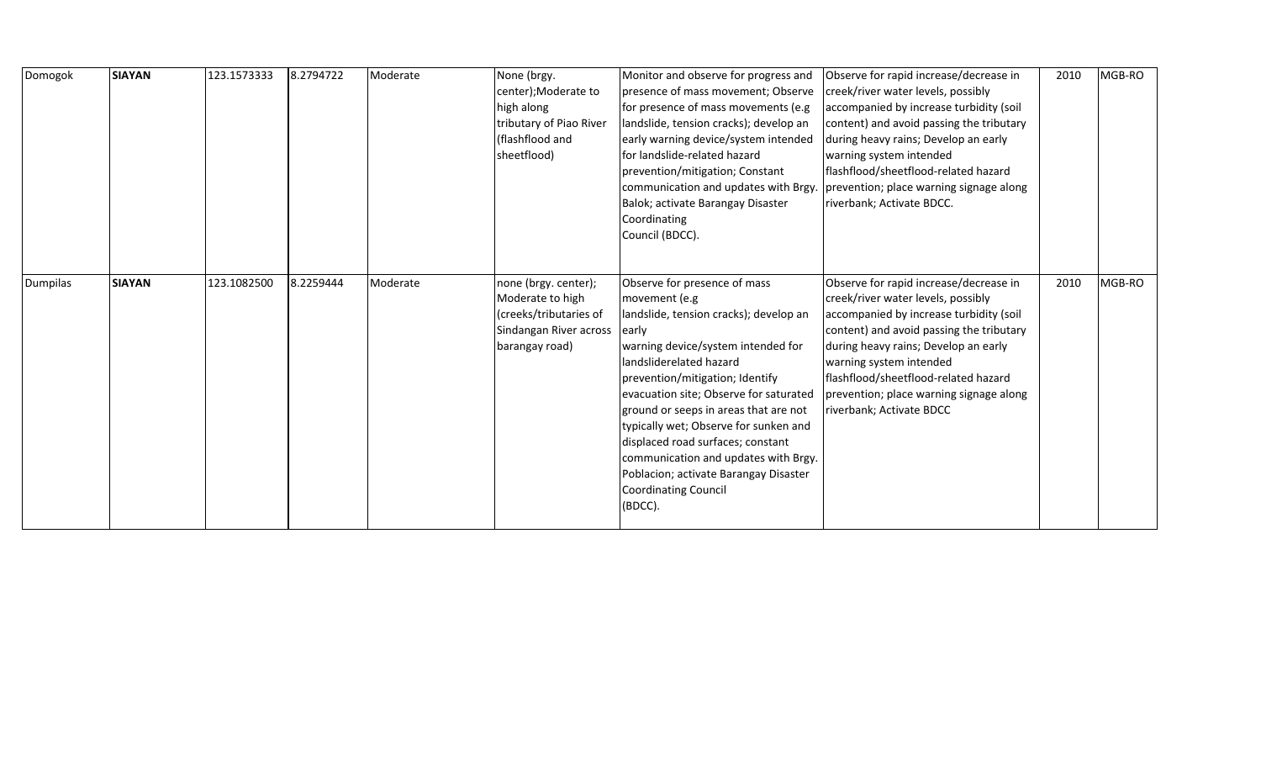| Domogok         | <b>SIAYAN</b> | 123.1573333 | 8.2794722 | Moderate | None (brgy.<br>center);Moderate to<br>high along<br>tributary of Piao River<br>(flashflood and<br>sheetflood)  | Monitor and observe for progress and<br>presence of mass movement; Observe<br>for presence of mass movements (e.g<br>landslide, tension cracks); develop an<br>early warning device/system intended<br>for landslide-related hazard<br>prevention/mitigation; Constant<br>communication and updates with Brgy.<br>Balok; activate Barangay Disaster<br>Coordinating<br>Council (BDCC).                                                                                                           | Observe for rapid increase/decrease in<br>creek/river water levels, possibly<br>accompanied by increase turbidity (soil<br>content) and avoid passing the tributary<br>during heavy rains; Develop an early<br>warning system intended<br>flashflood/sheetflood-related hazard<br>prevention; place warning signage along<br>riverbank; Activate BDCC. | 2010 | MGB-RO |
|-----------------|---------------|-------------|-----------|----------|----------------------------------------------------------------------------------------------------------------|--------------------------------------------------------------------------------------------------------------------------------------------------------------------------------------------------------------------------------------------------------------------------------------------------------------------------------------------------------------------------------------------------------------------------------------------------------------------------------------------------|--------------------------------------------------------------------------------------------------------------------------------------------------------------------------------------------------------------------------------------------------------------------------------------------------------------------------------------------------------|------|--------|
| <b>Dumpilas</b> | <b>SIAYAN</b> | 123.1082500 | 8.2259444 | Moderate | none (brgy. center);<br>Moderate to high<br>(creeks/tributaries of<br>Sindangan River across<br>barangay road) | Observe for presence of mass<br>movement (e.g<br>landslide, tension cracks); develop an<br>early<br>warning device/system intended for<br>landsliderelated hazard<br>prevention/mitigation; Identify<br>evacuation site; Observe for saturated<br>ground or seeps in areas that are not<br>typically wet; Observe for sunken and<br>displaced road surfaces; constant<br>communication and updates with Brgy.<br>Poblacion; activate Barangay Disaster<br><b>Coordinating Council</b><br>(BDCC). | Observe for rapid increase/decrease in<br>creek/river water levels, possibly<br>accompanied by increase turbidity (soil<br>content) and avoid passing the tributary<br>during heavy rains; Develop an early<br>warning system intended<br>flashflood/sheetflood-related hazard<br>prevention; place warning signage along<br>riverbank; Activate BDCC  | 2010 | MGB-RO |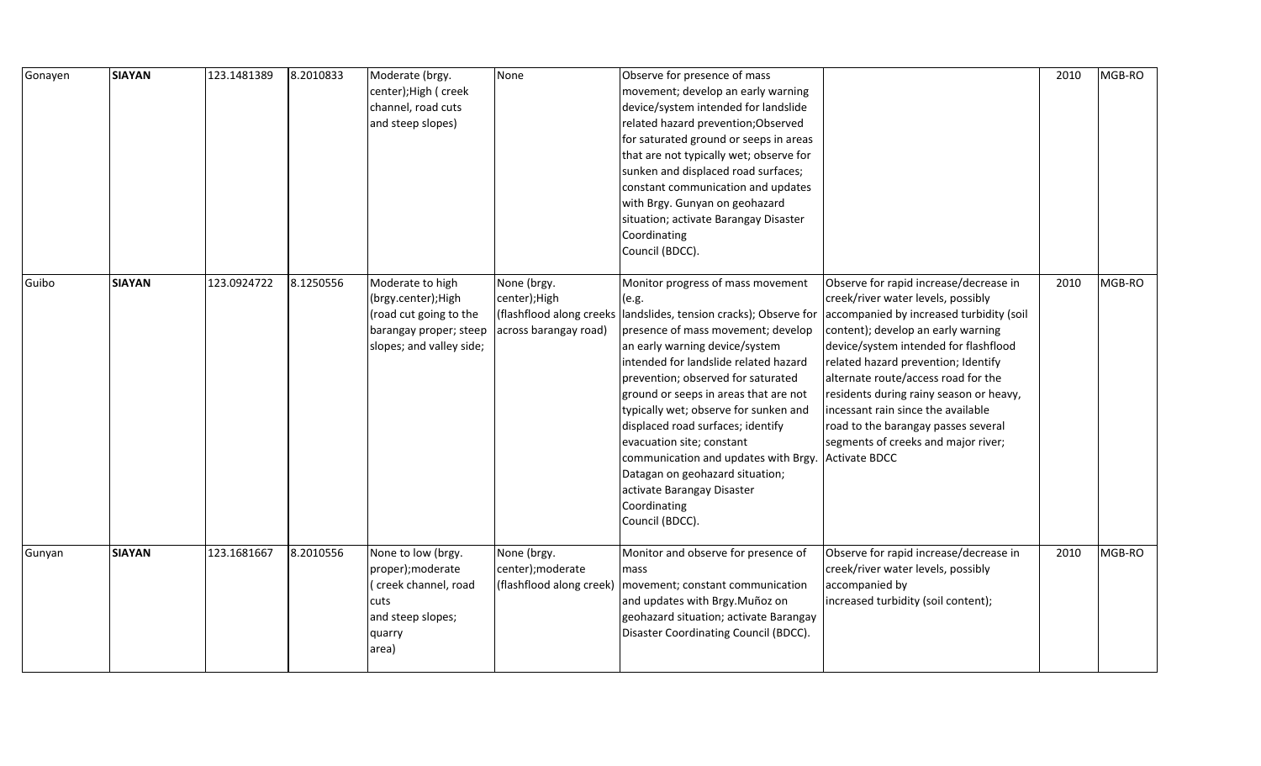| Gonayen | <b>SIAYAN</b> | 123.1481389 | 8.2010833 | Moderate (brgy.<br>center);High ( creek<br>channel, road cuts<br>and steep slopes)                                      | None                                                                              | Observe for presence of mass<br>movement; develop an early warning<br>device/system intended for landslide<br>related hazard prevention; Observed<br>for saturated ground or seeps in areas<br>that are not typically wet; observe for<br>sunken and displaced road surfaces;<br>constant communication and updates<br>with Brgy. Gunyan on geohazard<br>situation; activate Barangay Disaster<br>Coordinating<br>Council (BDCC).                                                                                                             |                                                                                                                                                                                                                                                                                                                                                                                                                                                                              | 2010 | MGB-RO |
|---------|---------------|-------------|-----------|-------------------------------------------------------------------------------------------------------------------------|-----------------------------------------------------------------------------------|-----------------------------------------------------------------------------------------------------------------------------------------------------------------------------------------------------------------------------------------------------------------------------------------------------------------------------------------------------------------------------------------------------------------------------------------------------------------------------------------------------------------------------------------------|------------------------------------------------------------------------------------------------------------------------------------------------------------------------------------------------------------------------------------------------------------------------------------------------------------------------------------------------------------------------------------------------------------------------------------------------------------------------------|------|--------|
| Guibo   | <b>SIAYAN</b> | 123.0924722 | 8.1250556 | Moderate to high<br>(brgy.center); High<br>(road cut going to the<br>barangay proper; steep<br>slopes; and valley side; | None (brgy.<br>center); High<br>(flashflood along creeks<br>across barangay road) | Monitor progress of mass movement<br>(e.g.<br>landslides, tension cracks); Observe for<br>presence of mass movement; develop<br>an early warning device/system<br>intended for landslide related hazard<br>prevention; observed for saturated<br>ground or seeps in areas that are not<br>typically wet; observe for sunken and<br>displaced road surfaces; identify<br>evacuation site; constant<br>communication and updates with Brgy.<br>Datagan on geohazard situation;<br>activate Barangay Disaster<br>Coordinating<br>Council (BDCC). | Observe for rapid increase/decrease in<br>creek/river water levels, possibly<br>accompanied by increased turbidity (soil<br>content); develop an early warning<br>device/system intended for flashflood<br>related hazard prevention; Identify<br>alternate route/access road for the<br>residents during rainy season or heavy,<br>incessant rain since the available<br>road to the barangay passes several<br>segments of creeks and major river;<br><b>Activate BDCC</b> | 2010 | MGB-RO |
| Gunyan  | <b>SIAYAN</b> | 123.1681667 | 8.2010556 | None to low (brgy.<br>proper);moderate<br>creek channel, road<br>cuts<br>and steep slopes;<br>quarry<br>area)           | None (brgy.<br>center); moderate<br>(flashflood along creek)                      | Monitor and observe for presence of<br>mass<br>movement; constant communication<br>and updates with Brgy. Muñoz on<br>geohazard situation; activate Barangay<br>Disaster Coordinating Council (BDCC).                                                                                                                                                                                                                                                                                                                                         | Observe for rapid increase/decrease in<br>creek/river water levels, possibly<br>accompanied by<br>increased turbidity (soil content);                                                                                                                                                                                                                                                                                                                                        | 2010 | MGB-RO |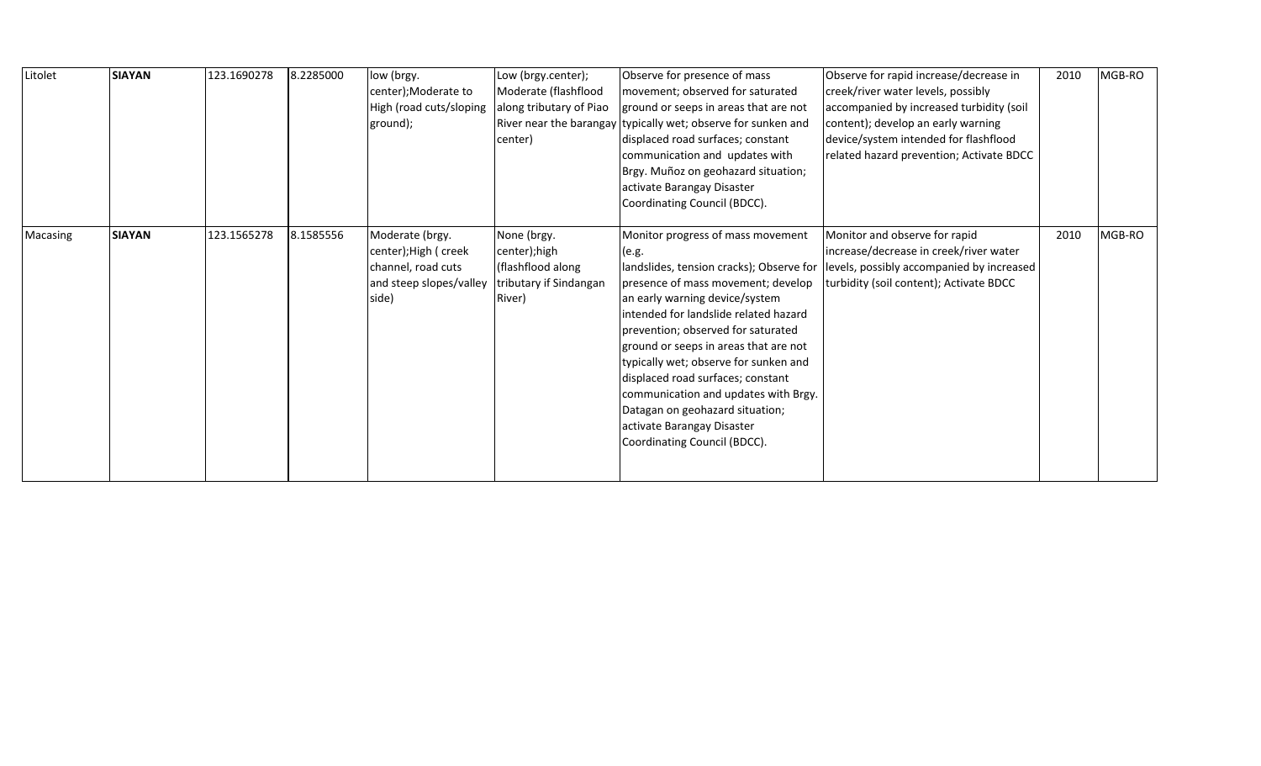| Litolet  | <b>SIAYAN</b> | 123.1690278 | 8.2285000 | low (brgy.<br>center); Moderate to<br>High (road cuts/sloping<br>ground);                          | Low (brgy.center);<br>Moderate (flashflood<br>along tributary of Piao<br>center)     | Observe for presence of mass<br>movement; observed for saturated<br>ground or seeps in areas that are not<br>River near the barangay typically wet; observe for sunken and<br>displaced road surfaces; constant<br>communication and updates with<br>Brgy. Muñoz on geohazard situation;<br>activate Barangay Disaster<br>Coordinating Council (BDCC).                                                                                                                                                        | Observe for rapid increase/decrease in<br>creek/river water levels, possibly<br>accompanied by increased turbidity (soil<br>content); develop an early warning<br>device/system intended for flashflood<br>related hazard prevention; Activate BDCC | 2010 | MGB-RO |
|----------|---------------|-------------|-----------|----------------------------------------------------------------------------------------------------|--------------------------------------------------------------------------------------|---------------------------------------------------------------------------------------------------------------------------------------------------------------------------------------------------------------------------------------------------------------------------------------------------------------------------------------------------------------------------------------------------------------------------------------------------------------------------------------------------------------|-----------------------------------------------------------------------------------------------------------------------------------------------------------------------------------------------------------------------------------------------------|------|--------|
| Macasing | <b>SIAYAN</b> | 123.1565278 | 8.1585556 | Moderate (brgy.<br>center); High ( creek<br>channel, road cuts<br>and steep slopes/valley<br>side) | None (brgy.<br>center);high<br>(flashflood along<br>tributary if Sindangan<br>River) | Monitor progress of mass movement<br>(e.g.<br>landslides, tension cracks); Observe for<br>presence of mass movement; develop<br>an early warning device/system<br>intended for landslide related hazard<br>prevention; observed for saturated<br>ground or seeps in areas that are not<br>typically wet; observe for sunken and<br>displaced road surfaces; constant<br>communication and updates with Brgy.<br>Datagan on geohazard situation;<br>activate Barangay Disaster<br>Coordinating Council (BDCC). | Monitor and observe for rapid<br>increase/decrease in creek/river water<br>levels, possibly accompanied by increased<br>turbidity (soil content); Activate BDCC                                                                                     | 2010 | MGB-RO |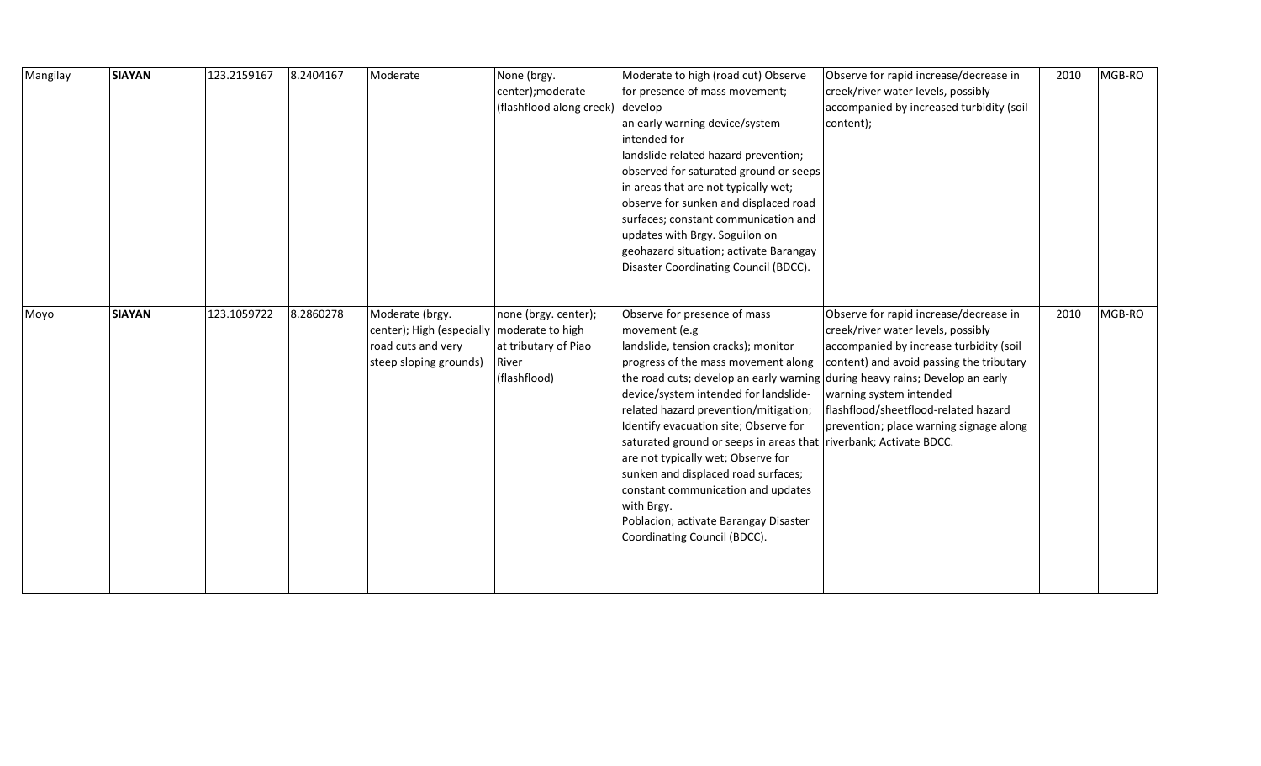| Mangilay | <b>SIAYAN</b> | 123.2159167 | 8.2404167 | Moderate                                                                                                        | None (brgy.<br>center); moderate<br>(flashflood along creek) develop  | Moderate to high (road cut) Observe<br>for presence of mass movement;<br>an early warning device/system<br>lintended for<br>landslide related hazard prevention;<br>observed for saturated ground or seeps<br>in areas that are not typically wet;<br>observe for sunken and displaced road<br>surfaces; constant communication and<br>updates with Brgy. Soguilon on<br>geohazard situation; activate Barangay<br>Disaster Coordinating Council (BDCC).                                                                                                                                                              | Observe for rapid increase/decrease in<br>creek/river water levels, possibly<br>accompanied by increased turbidity (soil<br>content);                                                                                                                                             | 2010 | MGB-RO |
|----------|---------------|-------------|-----------|-----------------------------------------------------------------------------------------------------------------|-----------------------------------------------------------------------|-----------------------------------------------------------------------------------------------------------------------------------------------------------------------------------------------------------------------------------------------------------------------------------------------------------------------------------------------------------------------------------------------------------------------------------------------------------------------------------------------------------------------------------------------------------------------------------------------------------------------|-----------------------------------------------------------------------------------------------------------------------------------------------------------------------------------------------------------------------------------------------------------------------------------|------|--------|
| Moyo     | <b>SIAYAN</b> | 123.1059722 | 8.2860278 | Moderate (brgy.<br>center); High (especially   moderate to high<br>road cuts and very<br>steep sloping grounds) | none (brgy. center);<br>at tributary of Piao<br>River<br>(flashflood) | Observe for presence of mass<br>movement (e.g<br>landslide, tension cracks); monitor<br>progress of the mass movement along<br>the road cuts; develop an early warning during heavy rains; Develop an early<br>device/system intended for landslide-<br>related hazard prevention/mitigation;<br>Identify evacuation site; Observe for<br>saturated ground or seeps in areas that riverbank; Activate BDCC.<br>are not typically wet; Observe for<br>sunken and displaced road surfaces;<br>constant communication and updates<br>with Brgy.<br>Poblacion; activate Barangay Disaster<br>Coordinating Council (BDCC). | Observe for rapid increase/decrease in<br>creek/river water levels, possibly<br>accompanied by increase turbidity (soil<br>content) and avoid passing the tributary<br>warning system intended<br>flashflood/sheetflood-related hazard<br>prevention; place warning signage along | 2010 | MGB-RO |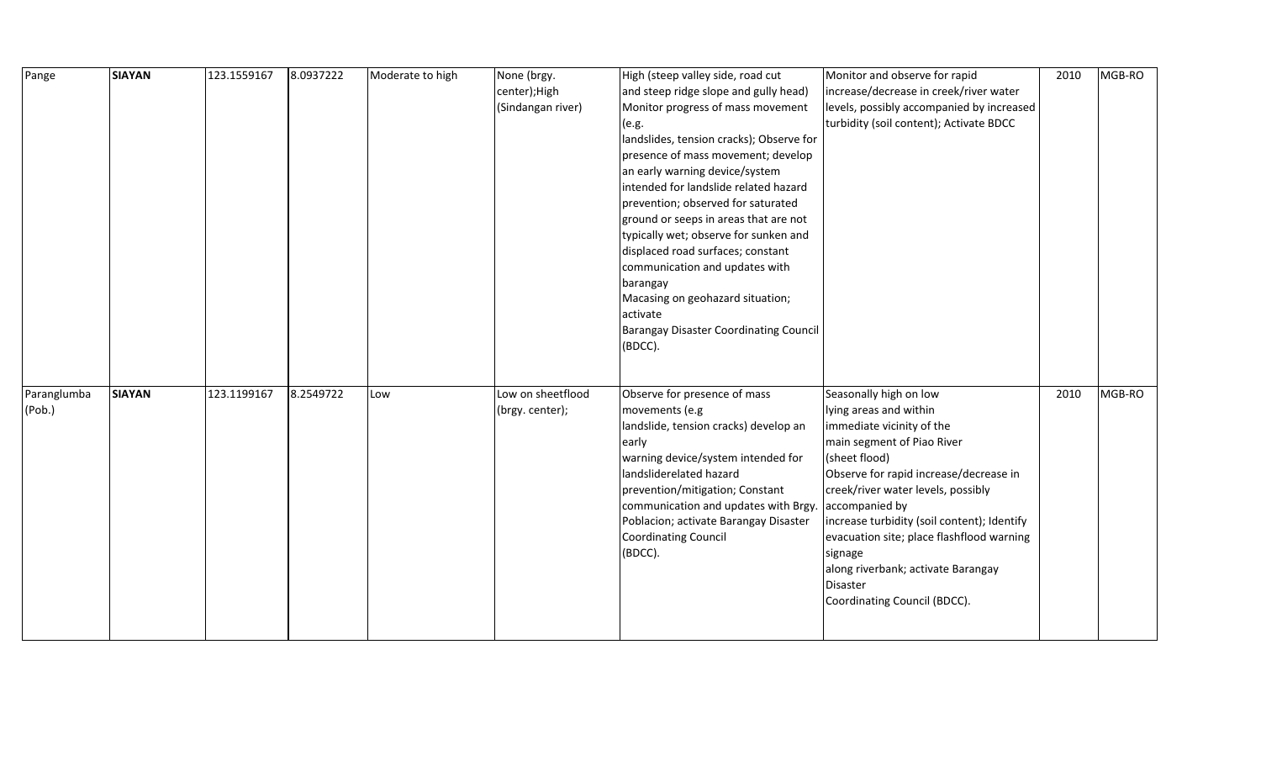| Pange       | <b>SIAYAN</b> | 123.1559167 | 8.0937222 | Moderate to high | None (brgy.       | High (steep valley side, road cut             | Monitor and observe for rapid               | 2010 | MGB-RO |
|-------------|---------------|-------------|-----------|------------------|-------------------|-----------------------------------------------|---------------------------------------------|------|--------|
|             |               |             |           |                  | center);High      | and steep ridge slope and gully head)         | increase/decrease in creek/river water      |      |        |
|             |               |             |           |                  | (Sindangan river) | Monitor progress of mass movement             | levels, possibly accompanied by increased   |      |        |
|             |               |             |           |                  |                   | (e.g.                                         | turbidity (soil content); Activate BDCC     |      |        |
|             |               |             |           |                  |                   | landslides, tension cracks); Observe for      |                                             |      |        |
|             |               |             |           |                  |                   | presence of mass movement; develop            |                                             |      |        |
|             |               |             |           |                  |                   | an early warning device/system                |                                             |      |        |
|             |               |             |           |                  |                   | intended for landslide related hazard         |                                             |      |        |
|             |               |             |           |                  |                   | prevention; observed for saturated            |                                             |      |        |
|             |               |             |           |                  |                   | ground or seeps in areas that are not         |                                             |      |        |
|             |               |             |           |                  |                   | typically wet; observe for sunken and         |                                             |      |        |
|             |               |             |           |                  |                   | displaced road surfaces; constant             |                                             |      |        |
|             |               |             |           |                  |                   | communication and updates with                |                                             |      |        |
|             |               |             |           |                  |                   | barangay                                      |                                             |      |        |
|             |               |             |           |                  |                   | Macasing on geohazard situation;              |                                             |      |        |
|             |               |             |           |                  |                   | activate                                      |                                             |      |        |
|             |               |             |           |                  |                   | <b>Barangay Disaster Coordinating Council</b> |                                             |      |        |
|             |               |             |           |                  |                   | (BDCC).                                       |                                             |      |        |
|             |               |             |           |                  |                   |                                               |                                             |      |        |
|             |               |             |           |                  |                   |                                               |                                             |      |        |
| Paranglumba | <b>SIAYAN</b> | 123.1199167 | 8.2549722 | Low              | Low on sheetflood | Observe for presence of mass                  | Seasonally high on low                      | 2010 | MGB-RO |
| (Pob.)      |               |             |           |                  | (brgy. center);   | movements (e.g                                | lying areas and within                      |      |        |
|             |               |             |           |                  |                   | landslide, tension cracks) develop an         | immediate vicinity of the                   |      |        |
|             |               |             |           |                  |                   | early                                         | main segment of Piao River                  |      |        |
|             |               |             |           |                  |                   | warning device/system intended for            | (sheet flood)                               |      |        |
|             |               |             |           |                  |                   | landsliderelated hazard                       | Observe for rapid increase/decrease in      |      |        |
|             |               |             |           |                  |                   | prevention/mitigation; Constant               | creek/river water levels, possibly          |      |        |
|             |               |             |           |                  |                   | communication and updates with Brgy           | accompanied by                              |      |        |
|             |               |             |           |                  |                   | Poblacion; activate Barangay Disaster         | increase turbidity (soil content); Identify |      |        |
|             |               |             |           |                  |                   | Coordinating Council                          | evacuation site; place flashflood warning   |      |        |
|             |               |             |           |                  |                   | (BDCC).                                       | signage                                     |      |        |
|             |               |             |           |                  |                   |                                               | along riverbank; activate Barangay          |      |        |
|             |               |             |           |                  |                   |                                               | <b>Disaster</b>                             |      |        |
|             |               |             |           |                  |                   |                                               | Coordinating Council (BDCC).                |      |        |
|             |               |             |           |                  |                   |                                               |                                             |      |        |
|             |               |             |           |                  |                   |                                               |                                             |      |        |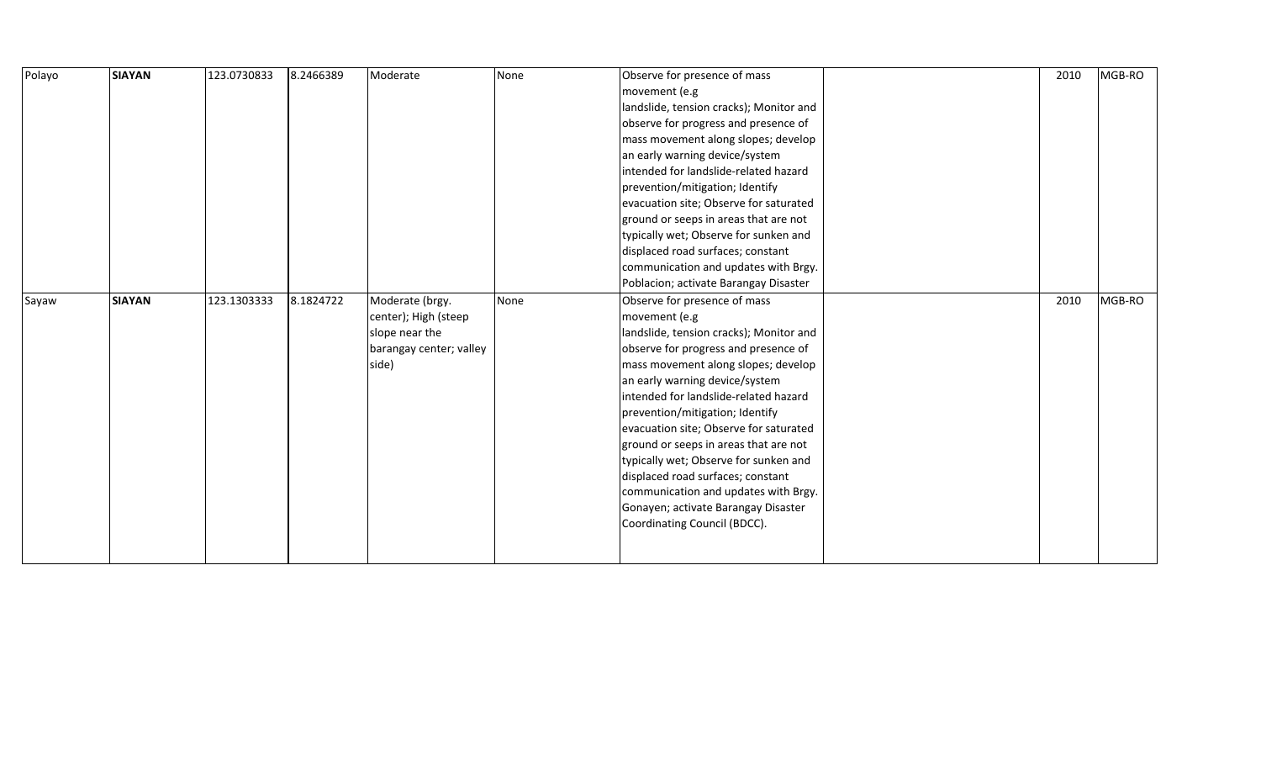| Polayo | <b>SIAYAN</b> | 123.0730833 | 8.2466389 | Moderate                | None | Observe for presence of mass            | 2010 | MGB-RO |
|--------|---------------|-------------|-----------|-------------------------|------|-----------------------------------------|------|--------|
|        |               |             |           |                         |      | movement (e.g                           |      |        |
|        |               |             |           |                         |      | landslide, tension cracks); Monitor and |      |        |
|        |               |             |           |                         |      | observe for progress and presence of    |      |        |
|        |               |             |           |                         |      | mass movement along slopes; develop     |      |        |
|        |               |             |           |                         |      | an early warning device/system          |      |        |
|        |               |             |           |                         |      | intended for landslide-related hazard   |      |        |
|        |               |             |           |                         |      | prevention/mitigation; Identify         |      |        |
|        |               |             |           |                         |      | evacuation site; Observe for saturated  |      |        |
|        |               |             |           |                         |      | ground or seeps in areas that are not   |      |        |
|        |               |             |           |                         |      | typically wet; Observe for sunken and   |      |        |
|        |               |             |           |                         |      | displaced road surfaces; constant       |      |        |
|        |               |             |           |                         |      | communication and updates with Brgy.    |      |        |
|        |               |             |           |                         |      | Poblacion; activate Barangay Disaster   |      |        |
| Sayaw  | <b>SIAYAN</b> | 123.1303333 | 8.1824722 | Moderate (brgy.         | None | Observe for presence of mass            | 2010 | MGB-RO |
|        |               |             |           | center); High (steep    |      | movement (e.g                           |      |        |
|        |               |             |           | slope near the          |      | landslide, tension cracks); Monitor and |      |        |
|        |               |             |           | barangay center; valley |      | observe for progress and presence of    |      |        |
|        |               |             |           | side)                   |      | mass movement along slopes; develop     |      |        |
|        |               |             |           |                         |      | an early warning device/system          |      |        |
|        |               |             |           |                         |      | intended for landslide-related hazard   |      |        |
|        |               |             |           |                         |      | prevention/mitigation; Identify         |      |        |
|        |               |             |           |                         |      | evacuation site; Observe for saturated  |      |        |
|        |               |             |           |                         |      | ground or seeps in areas that are not   |      |        |
|        |               |             |           |                         |      | typically wet; Observe for sunken and   |      |        |
|        |               |             |           |                         |      | displaced road surfaces; constant       |      |        |
|        |               |             |           |                         |      | communication and updates with Brgy.    |      |        |
|        |               |             |           |                         |      | Gonayen; activate Barangay Disaster     |      |        |
|        |               |             |           |                         |      | Coordinating Council (BDCC).            |      |        |
|        |               |             |           |                         |      |                                         |      |        |
|        |               |             |           |                         |      |                                         |      |        |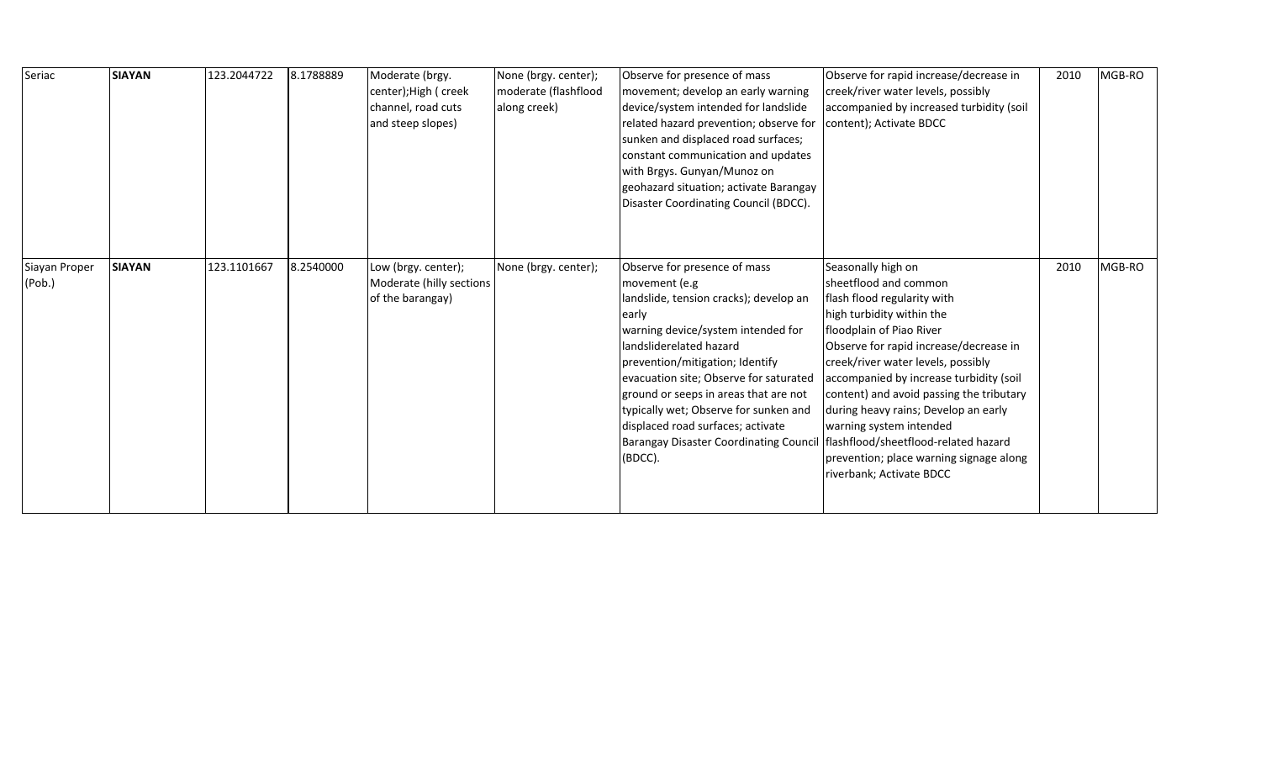| Seriac                  | <b>SIAYAN</b> | 123.2044722 | 8.1788889 | Moderate (brgy.<br>center); High ( creek<br>channel, road cuts<br>and steep slopes) | None (brgy. center);<br>moderate (flashflood<br>along creek) | Observe for presence of mass<br>movement; develop an early warning<br>device/system intended for landslide<br>related hazard prevention; observe for<br>sunken and displaced road surfaces;<br>constant communication and updates<br>with Brgys. Gunyan/Munoz on<br>geohazard situation; activate Barangay<br>Disaster Coordinating Council (BDCC).                                                                               | Observe for rapid increase/decrease in<br>creek/river water levels, possibly<br>accompanied by increased turbidity (soil<br>content); Activate BDCC                                                                                                                                                                                                                                                                                                                                          | 2010 | MGB-RO |
|-------------------------|---------------|-------------|-----------|-------------------------------------------------------------------------------------|--------------------------------------------------------------|-----------------------------------------------------------------------------------------------------------------------------------------------------------------------------------------------------------------------------------------------------------------------------------------------------------------------------------------------------------------------------------------------------------------------------------|----------------------------------------------------------------------------------------------------------------------------------------------------------------------------------------------------------------------------------------------------------------------------------------------------------------------------------------------------------------------------------------------------------------------------------------------------------------------------------------------|------|--------|
| Siayan Proper<br>(Pob.) | <b>SIAYAN</b> | 123.1101667 | 8.2540000 | Low (brgy. center);<br>Moderate (hilly sections<br>of the barangay)                 | None (brgy. center);                                         | Observe for presence of mass<br>movement (e.g<br>landslide, tension cracks); develop an<br>early<br>warning device/system intended for<br>landsliderelated hazard<br>prevention/mitigation; Identify<br>evacuation site; Observe for saturated<br>ground or seeps in areas that are not<br>typically wet; Observe for sunken and<br>displaced road surfaces; activate<br><b>Barangay Disaster Coordinating Council</b><br>(BDCC). | Seasonally high on<br>sheetflood and common<br>flash flood regularity with<br>high turbidity within the<br>floodplain of Piao River<br>Observe for rapid increase/decrease in<br>creek/river water levels, possibly<br>accompanied by increase turbidity (soil<br>content) and avoid passing the tributary<br>during heavy rains; Develop an early<br>warning system intended<br>flashflood/sheetflood-related hazard<br>prevention; place warning signage along<br>riverbank; Activate BDCC | 2010 | MGB-RO |